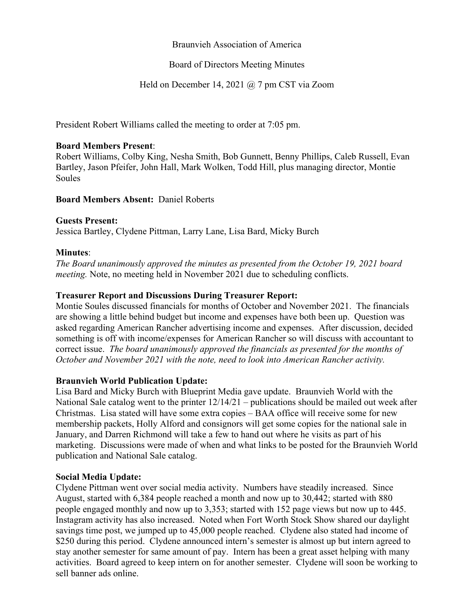## Braunvieh Association of America

## Board of Directors Meeting Minutes

# Held on December 14, 2021 @ 7 pm CST via Zoom

President Robert Williams called the meeting to order at 7:05 pm.

#### **Board Members Present**:

Robert Williams, Colby King, Nesha Smith, Bob Gunnett, Benny Phillips, Caleb Russell, Evan Bartley, Jason Pfeifer, John Hall, Mark Wolken, Todd Hill, plus managing director, Montie Soules

**Board Members Absent:** Daniel Roberts

#### **Guests Present:**

Jessica Bartley, Clydene Pittman, Larry Lane, Lisa Bard, Micky Burch

#### **Minutes**:

*The Board unanimously approved the minutes as presented from the October 19, 2021 board meeting.* Note, no meeting held in November 2021 due to scheduling conflicts.

## **Treasurer Report and Discussions During Treasurer Report:**

Montie Soules discussed financials for months of October and November 2021. The financials are showing a little behind budget but income and expenses have both been up. Question was asked regarding American Rancher advertising income and expenses. After discussion, decided something is off with income/expenses for American Rancher so will discuss with accountant to correct issue. *The board unanimously approved the financials as presented for the months of October and November 2021 with the note, need to look into American Rancher activity.* 

#### **Braunvieh World Publication Update:**

Lisa Bard and Micky Burch with Blueprint Media gave update. Braunvieh World with the National Sale catalog went to the printer 12/14/21 – publications should be mailed out week after Christmas. Lisa stated will have some extra copies – BAA office will receive some for new membership packets, Holly Alford and consignors will get some copies for the national sale in January, and Darren Richmond will take a few to hand out where he visits as part of his marketing. Discussions were made of when and what links to be posted for the Braunvieh World publication and National Sale catalog.

#### **Social Media Update:**

Clydene Pittman went over social media activity. Numbers have steadily increased. Since August, started with 6,384 people reached a month and now up to 30,442; started with 880 people engaged monthly and now up to 3,353; started with 152 page views but now up to 445. Instagram activity has also increased. Noted when Fort Worth Stock Show shared our daylight savings time post, we jumped up to 45,000 people reached. Clydene also stated had income of \$250 during this period. Clydene announced intern's semester is almost up but intern agreed to stay another semester for same amount of pay. Intern has been a great asset helping with many activities. Board agreed to keep intern on for another semester. Clydene will soon be working to sell banner ads online.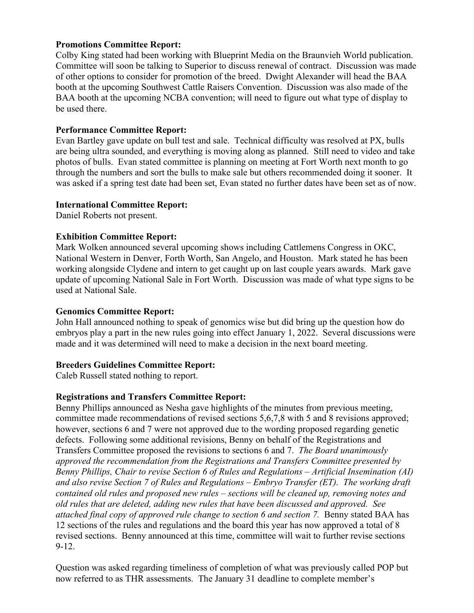## **Promotions Committee Report:**

Colby King stated had been working with Blueprint Media on the Braunvieh World publication. Committee will soon be talking to Superior to discuss renewal of contract. Discussion was made of other options to consider for promotion of the breed. Dwight Alexander will head the BAA booth at the upcoming Southwest Cattle Raisers Convention. Discussion was also made of the BAA booth at the upcoming NCBA convention; will need to figure out what type of display to be used there.

## **Performance Committee Report:**

Evan Bartley gave update on bull test and sale. Technical difficulty was resolved at PX, bulls are being ultra sounded, and everything is moving along as planned. Still need to video and take photos of bulls. Evan stated committee is planning on meeting at Fort Worth next month to go through the numbers and sort the bulls to make sale but others recommended doing it sooner. It was asked if a spring test date had been set, Evan stated no further dates have been set as of now.

#### **International Committee Report:**

Daniel Roberts not present.

# **Exhibition Committee Report:**

Mark Wolken announced several upcoming shows including Cattlemens Congress in OKC, National Western in Denver, Forth Worth, San Angelo, and Houston. Mark stated he has been working alongside Clydene and intern to get caught up on last couple years awards. Mark gave update of upcoming National Sale in Fort Worth. Discussion was made of what type signs to be used at National Sale.

### **Genomics Committee Report:**

John Hall announced nothing to speak of genomics wise but did bring up the question how do embryos play a part in the new rules going into effect January 1, 2022. Several discussions were made and it was determined will need to make a decision in the next board meeting.

# **Breeders Guidelines Committee Report:**

Caleb Russell stated nothing to report.

# **Registrations and Transfers Committee Report:**

Benny Phillips announced as Nesha gave highlights of the minutes from previous meeting, committee made recommendations of revised sections 5,6,7,8 with 5 and 8 revisions approved; however, sections 6 and 7 were not approved due to the wording proposed regarding genetic defects. Following some additional revisions, Benny on behalf of the Registrations and Transfers Committee proposed the revisions to sections 6 and 7. *The Board unanimously approved the recommendation from the Registrations and Transfers Committee presented by Benny Phillips, Chair to revise Section 6 of Rules and Regulations – Artificial Insemination (AI) and also revise Section 7 of Rules and Regulations – Embryo Transfer (ET). The working draft contained old rules and proposed new rules – sections will be cleaned up, removing notes and old rules that are deleted, adding new rules that have been discussed and approved. See attached final copy of approved rule change to section 6 and section 7.* Benny stated BAA has 12 sections of the rules and regulations and the board this year has now approved a total of 8 revised sections. Benny announced at this time, committee will wait to further revise sections 9-12.

Question was asked regarding timeliness of completion of what was previously called POP but now referred to as THR assessments. The January 31 deadline to complete member's